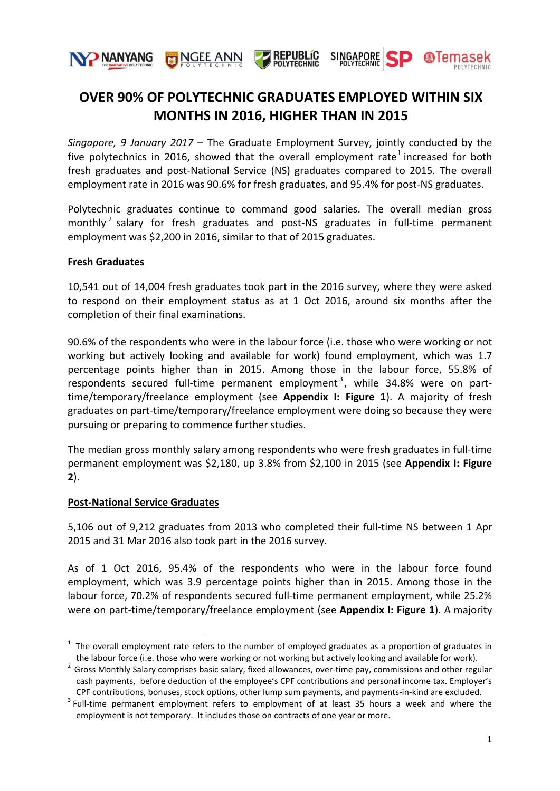

# **OVER 90% OF POLYTECHNIC GRADUATES EMPLOYED WITHIN SIX MONTHS IN 2016, HIGHER THAN IN 2015**

*Singapore, 9 January 2017* – The Graduate Employment Survey, jointly conducted by the five polytechnics in 20[1](#page-0-0)6, showed that the overall employment rate<sup>1</sup> increased for both fresh graduates and post-National Service (NS) graduates compared to 2015. The overall employment rate in 2016 was 90.6% for fresh graduates, and 95.4% for post-NS graduates.

Polytechnic graduates continue to command good salaries. The overall median gross monthly<sup>[2](#page-0-1)</sup> salary for fresh graduates and post-NS graduates in full-time permanent employment was \$2,200 in 2016, similar to that of 2015 graduates.

## **Fresh Graduates**

10,541 out of 14,004 fresh graduates took part in the 2016 survey, where they were asked to respond on their employment status as at 1 Oct 2016, around six months after the completion of their final examinations.

90.6% of the respondents who were in the labour force (i.e. those who were working or not working but actively looking and available for work) found employment, which was 1.7 percentage points higher than in 2015. Among those in the labour force, 55.8% of respondents secured full-time permanent employment<sup>[3](#page-0-2)</sup>, while 34.8% were on parttime/temporary/freelance employment (see **Appendix I: Figure 1**). A majority of fresh graduates on part-time/temporary/freelance employment were doing so because they were pursuing or preparing to commence further studies.

The median gross monthly salary among respondents who were fresh graduates in full-time permanent employment was \$2,180, up 3.8% from \$2,100 in 2015 (see **Appendix I: Figure 2**).

#### **Post-National Service Graduates**

5,106 out of 9,212 graduates from 2013 who completed their full-time NS between 1 Apr 2015 and 31 Mar 2016 also took part in the 2016 survey.

As of 1 Oct 2016, 95.4% of the respondents who were in the labour force found employment, which was 3.9 percentage points higher than in 2015. Among those in the labour force, 70.2% of respondents secured full-time permanent employment, while 25.2% were on part-time/temporary/freelance employment (see **Appendix I: Figure 1**). A majority

<span id="page-0-0"></span><sup>&</sup>lt;sup>1</sup> The overall employment rate refers to the number of employed graduates as a proportion of graduates in the labour force (i.e. those who were working or not working but actively looking and available for work).

<span id="page-0-1"></span>the labour force (i.e. those the were were working or not working but actively looking and allowances, over-time pay, commissions and other regular cash payments, before deduction of the employee's CPF contributions and personal income tax. Employer's

<span id="page-0-2"></span>CPF contributions, bonuses, stock options, other lump sum payments, and payments-in-kind are excluded.<br><sup>3</sup> Full-time permanent employment refers to employment of at least 35 hours a week and where the employment is not temporary. It includes those on contracts of one year or more.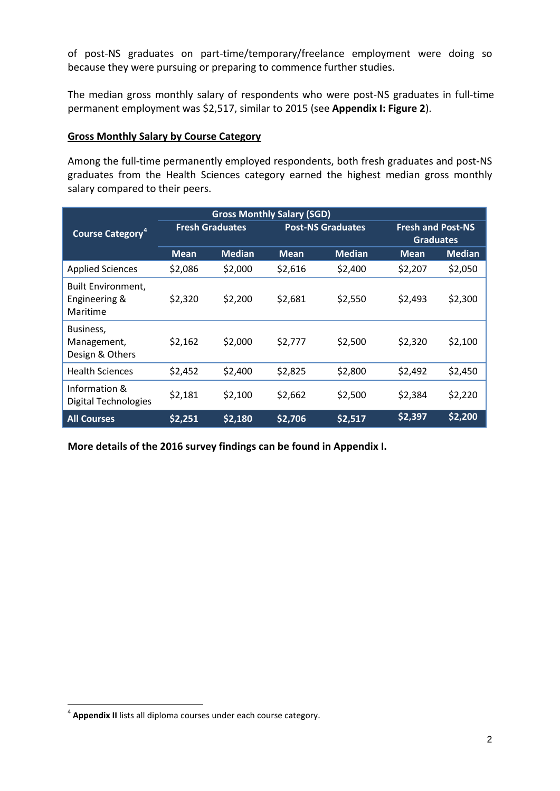of post-NS graduates on part-time/temporary/freelance employment were doing so because they were pursuing or preparing to commence further studies.

The median gross monthly salary of respondents who were post-NS graduates in full-time permanent employment was \$2,517, similar to 2015 (see **Appendix I: Figure 2**).

## **Gross Monthly Salary by Course Category**

Among the full-time permanently employed respondents, both fresh graduates and post-NS graduates from the Health Sciences category earned the highest median gross monthly salary compared to their peers.

|                                                 | <b>Gross Monthly Salary (SGD)</b> |               |                          |               |                                              |               |  |
|-------------------------------------------------|-----------------------------------|---------------|--------------------------|---------------|----------------------------------------------|---------------|--|
| Course Category <sup>4</sup>                    | <b>Fresh Graduates</b>            |               | <b>Post-NS Graduates</b> |               | <b>Fresh and Post-NS</b><br><b>Graduates</b> |               |  |
|                                                 | <b>Mean</b>                       | <b>Median</b> | <b>Mean</b>              | <b>Median</b> | <b>Mean</b>                                  | <b>Median</b> |  |
| <b>Applied Sciences</b>                         | \$2,086                           | \$2,000       | \$2,616                  | \$2,400       | \$2,207                                      | \$2,050       |  |
| Built Environment,<br>Engineering &<br>Maritime | \$2,320                           | \$2,200       | \$2,681                  | \$2,550       | \$2,493                                      | \$2,300       |  |
| Business,<br>Management,<br>Design & Others     | \$2,162                           | \$2,000       | \$2,777                  | \$2,500       | \$2,320                                      | \$2,100       |  |
| <b>Health Sciences</b>                          | \$2,452                           | \$2,400       | \$2,825                  | \$2,800       | \$2,492                                      | \$2,450       |  |
| Information &<br>Digital Technologies           | \$2,181                           | \$2,100       | \$2,662                  | \$2,500       | \$2,384                                      | \$2,220       |  |
| <b>All Courses</b>                              | \$2,251                           | \$2,180       | \$2,706                  | \$2,517       | \$2,397                                      | \$2,200       |  |

**More details of the 2016 survey findings can be found in Appendix I.** 

<span id="page-1-0"></span><sup>4</sup> **Appendix II** lists all diploma courses under each course category.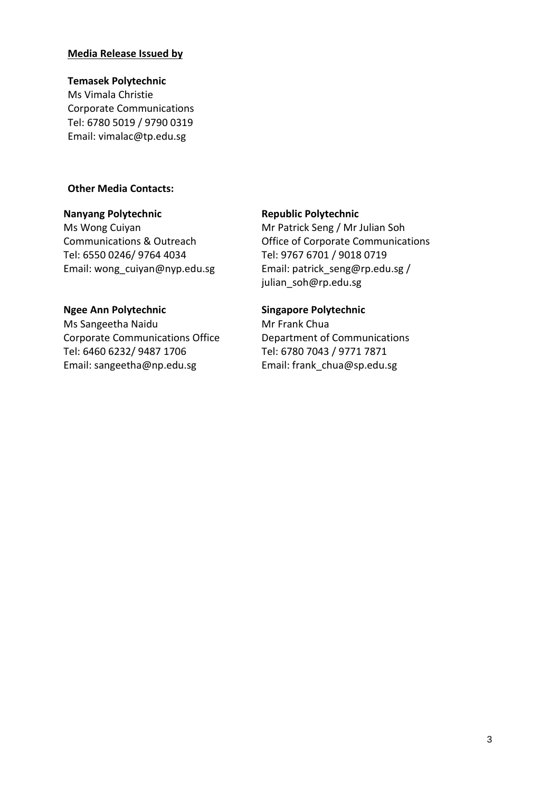## **Media Release Issued by**

#### **Temasek Polytechnic**

Ms Vimala Christie Corporate Communications Tel: 6780 5019 / 9790 0319 Email: [vimalac@tp.edu.sg](mailto:vimalac@tp.edu.sg)

## **Other Media Contacts:**

# **Nanyang Polytechnic**

Ms Wong Cuiyan Communications & Outreach Tel: 6550 0246/ 9764 4034 Email: wong\_cuiyan@nyp.edu.sg

## **Ngee Ann Polytechnic**

Ms Sangeetha Naidu Corporate Communications Office Tel: 6460 6232/ 9487 1706 Email: sangeetha@np.edu.sg

#### **Republic Polytechnic**

Mr Patrick Seng / Mr Julian Soh Office of Corporate Communications Tel: 9767 6701 / 9018 0719 Email: [patrick\\_seng@rp.edu.sg](mailto:patrick_seng@rp.edu.sg) / julian\_soh@rp.edu.sg

## **Singapore Polytechnic**

Mr Frank Chua Department of Communications Tel: 6780 7043 / 9771 7871 Email: frank\_chua@sp.edu.sg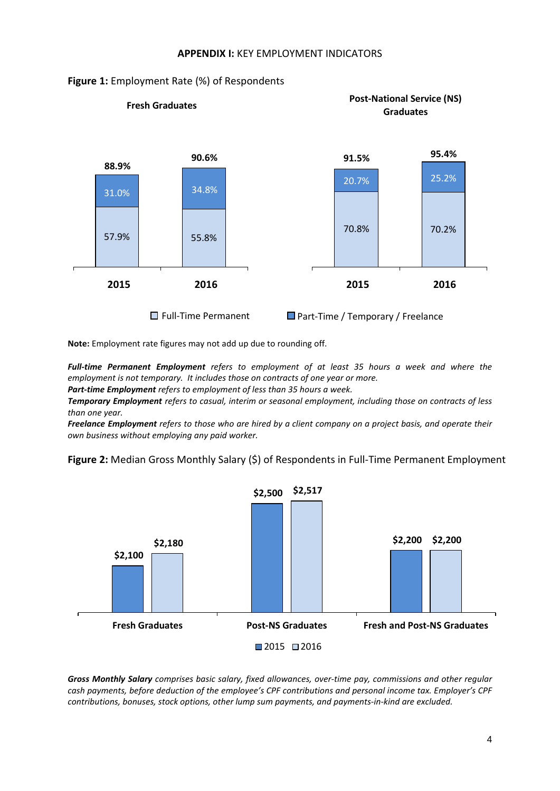



#### **Figure 1:** Employment Rate (%) of Respondents

**Note:** Employment rate figures may not add up due to rounding off.

*Full-time Permanent Employment refers to employment of at least 35 hours a week and where the employment is not temporary. It includes those on contracts of one year or more.*

*Part-time Employment refers to employment of less than 35 hours a week.* 

*Temporary Employment refers to casual, interim or seasonal employment, including those on contracts of less than one year.*

*Freelance Employment refers to those who are hired by a client company on a project basis, and operate their own business without employing any paid worker.*





*Gross Monthly Salary comprises basic salary, fixed allowances, over-time pay, commissions and other regular cash payments, before deduction of the employee's CPF contributions and personal income tax. Employer's CPF contributions, bonuses, stock options, other lump sum payments, and payments-in-kind are excluded.*